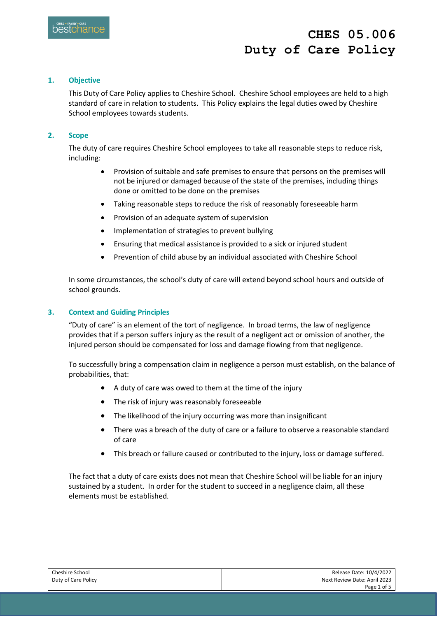## **1. Objective**

This Duty of Care Policy applies to Cheshire School. Cheshire School employees are held to a high standard of care in relation to students. This Policy explains the legal duties owed by Cheshire School employees towards students.

### **2. Scope**

The duty of care requires Cheshire School employees to take all reasonable steps to reduce risk, including:

- Provision of suitable and safe premises to ensure that persons on the premises will not be injured or damaged because of the state of the premises, including things done or omitted to be done on the premises
- Taking reasonable steps to reduce the risk of reasonably foreseeable harm
- Provision of an adequate system of supervision
- Implementation of strategies to prevent bullying
- Ensuring that medical assistance is provided to a sick or injured student
- Prevention of child abuse by an individual associated with Cheshire School

In some circumstances, the school's duty of care will extend beyond school hours and outside of school grounds.

### **3. Context and Guiding Principles**

"Duty of care" is an element of the tort of negligence. In broad terms, the law of negligence provides that if a person suffers injury as the result of a negligent act or omission of another, the injured person should be compensated for loss and damage flowing from that negligence.

To successfully bring a compensation claim in negligence a person must establish, on the balance of probabilities, that:

- A duty of care was owed to them at the time of the injury
- The risk of injury was reasonably foreseeable
- The likelihood of the injury occurring was more than insignificant
- There was a breach of the duty of care or a failure to observe a reasonable standard of care
- This breach or failure caused or contributed to the injury, loss or damage suffered.

The fact that a duty of care exists does not mean that Cheshire School will be liable for an injury sustained by a student. In order for the student to succeed in a negligence claim, all these elements must be established.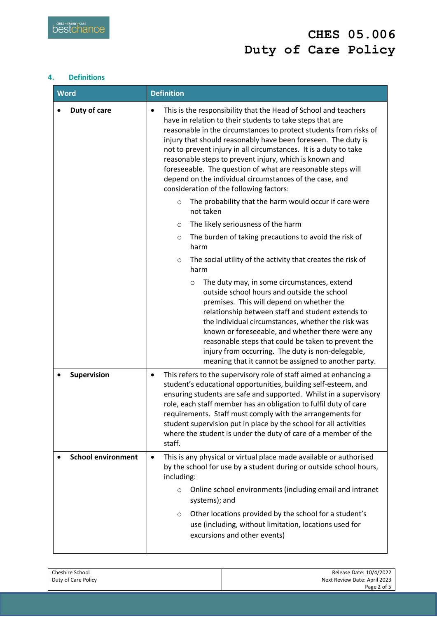# **4. Definitions**

| <b>Word</b>               | <b>Definition</b>                                                                                                                                                                                                                                                                                                                                                                                                                                                                                                                                                                  |  |
|---------------------------|------------------------------------------------------------------------------------------------------------------------------------------------------------------------------------------------------------------------------------------------------------------------------------------------------------------------------------------------------------------------------------------------------------------------------------------------------------------------------------------------------------------------------------------------------------------------------------|--|
| Duty of care              | This is the responsibility that the Head of School and teachers<br>$\bullet$<br>have in relation to their students to take steps that are<br>reasonable in the circumstances to protect students from risks of<br>injury that should reasonably have been foreseen. The duty is<br>not to prevent injury in all circumstances. It is a duty to take<br>reasonable steps to prevent injury, which is known and<br>foreseeable. The question of what are reasonable steps will<br>depend on the individual circumstances of the case, and<br>consideration of the following factors: |  |
|                           | The probability that the harm would occur if care were<br>$\circ$<br>not taken                                                                                                                                                                                                                                                                                                                                                                                                                                                                                                     |  |
|                           | The likely seriousness of the harm<br>$\circ$                                                                                                                                                                                                                                                                                                                                                                                                                                                                                                                                      |  |
|                           | The burden of taking precautions to avoid the risk of<br>$\circ$<br>harm                                                                                                                                                                                                                                                                                                                                                                                                                                                                                                           |  |
|                           | The social utility of the activity that creates the risk of<br>$\circ$<br>harm                                                                                                                                                                                                                                                                                                                                                                                                                                                                                                     |  |
|                           | The duty may, in some circumstances, extend<br>$\circ$<br>outside school hours and outside the school<br>premises. This will depend on whether the<br>relationship between staff and student extends to<br>the individual circumstances, whether the risk was<br>known or foreseeable, and whether there were any<br>reasonable steps that could be taken to prevent the<br>injury from occurring. The duty is non-delegable,<br>meaning that it cannot be assigned to another party.                                                                                              |  |
| Supervision               | This refers to the supervisory role of staff aimed at enhancing a<br>$\bullet$<br>student's educational opportunities, building self-esteem, and<br>ensuring students are safe and supported. Whilst in a supervisory<br>role, each staff member has an obligation to fulfil duty of care<br>requirements. Staff must comply with the arrangements for<br>student supervision put in place by the school for all activities<br>where the student is under the duty of care of a member of the<br>staff.                                                                            |  |
| <b>School environment</b> | This is any physical or virtual place made available or authorised<br>$\bullet$<br>by the school for use by a student during or outside school hours,<br>including:<br>Online school environments (including email and intranet<br>$\circ$<br>systems); and                                                                                                                                                                                                                                                                                                                        |  |
|                           | Other locations provided by the school for a student's<br>$\circ$<br>use (including, without limitation, locations used for<br>excursions and other events)                                                                                                                                                                                                                                                                                                                                                                                                                        |  |

| Cheshire School     | Release Date: 10/4/2022      |
|---------------------|------------------------------|
| Duty of Care Policy | Next Review Date: April 2023 |
|                     | Page 2 of 5                  |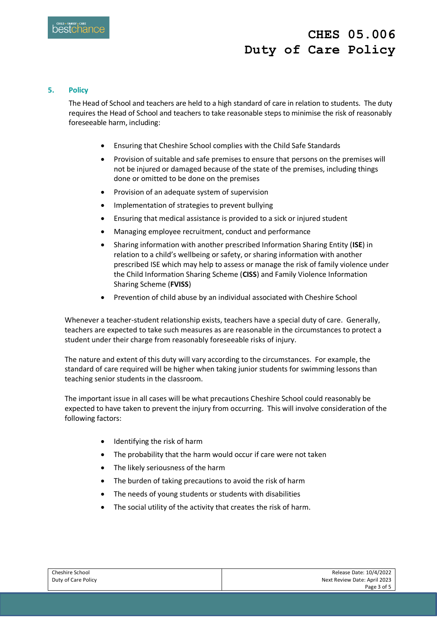#### **5. Policy**

The Head of School and teachers are held to a high standard of care in relation to students. The duty requires the Head of School and teachers to take reasonable steps to minimise the risk of reasonably foreseeable harm, including:

- Ensuring that Cheshire School complies with the Child Safe Standards
- Provision of suitable and safe premises to ensure that persons on the premises will not be injured or damaged because of the state of the premises, including things done or omitted to be done on the premises
- Provision of an adequate system of supervision
- Implementation of strategies to prevent bullying
- Ensuring that medical assistance is provided to a sick or injured student
- Managing employee recruitment, conduct and performance
- Sharing information with another prescribed Information Sharing Entity (**ISE**) in relation to a child's wellbeing or safety, or sharing information with another prescribed ISE which may help to assess or manage the risk of family violence under the Child Information Sharing Scheme (**CISS**) and Family Violence Information Sharing Scheme (**FVISS**)
- Prevention of child abuse by an individual associated with Cheshire School

Whenever a teacher-student relationship exists, teachers have a special duty of care. Generally, teachers are expected to take such measures as are reasonable in the circumstances to protect a student under their charge from reasonably foreseeable risks of injury.

The nature and extent of this duty will vary according to the circumstances. For example, the standard of care required will be higher when taking junior students for swimming lessons than teaching senior students in the classroom.

The important issue in all cases will be what precautions Cheshire School could reasonably be expected to have taken to prevent the injury from occurring. This will involve consideration of the following factors:

- Identifying the risk of harm
- The probability that the harm would occur if care were not taken
- The likely seriousness of the harm
- The burden of taking precautions to avoid the risk of harm
- The needs of young students or students with disabilities
- The social utility of the activity that creates the risk of harm.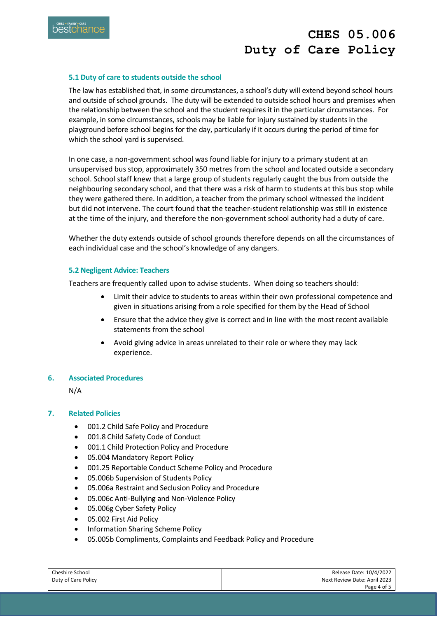

### **5.1 Duty of care to students outside the school**

The law has established that, in some circumstances, a school's duty will extend beyond school hours and outside of school grounds. The duty will be extended to outside school hours and premises when the relationship between the school and the student requires it in the particular circumstances. For example, in some circumstances, schools may be liable for injury sustained by students in the playground before school begins for the day, particularly if it occurs during the period of time for which the school yard is supervised.

In one case, a non-government school was found liable for injury to a primary student at an unsupervised bus stop, approximately 350 metres from the school and located outside a secondary school. School staff knew that a large group of students regularly caught the bus from outside the neighbouring secondary school, and that there was a risk of harm to students at this bus stop while they were gathered there. In addition, a teacher from the primary school witnessed the incident but did not intervene. The court found that the teacher-student relationship was still in existence at the time of the injury, and therefore the non-government school authority had a duty of care.

Whether the duty extends outside of school grounds therefore depends on all the circumstances of each individual case and the school's knowledge of any dangers.

#### **5.2 Negligent Advice: Teachers**

Teachers are frequently called upon to advise students. When doing so teachers should:

- Limit their advice to students to areas within their own professional competence and given in situations arising from a role specified for them by the Head of School
- Ensure that the advice they give is correct and in line with the most recent available statements from the school
- Avoid giving advice in areas unrelated to their role or where they may lack experience.

#### **6. Associated Procedures**

N/A

#### **7. Related Policies**

- 001.2 Child Safe Policy and Procedure
- 001.8 Child Safety Code of Conduct
- 001.1 Child Protection Policy and Procedure
- 05.004 Mandatory Report Policy
- 001.25 Reportable Conduct Scheme Policy and Procedure
- 05.006b Supervision of Students Policy
- 05.006a Restraint and Seclusion Policy and Procedure
- 05.006c Anti-Bullying and Non-Violence Policy
- 05.006g Cyber Safety Policy
- 05.002 First Aid Policy
- Information Sharing Scheme Policy
- 05.005b Compliments, Complaints and Feedback Policy and Procedure

| Cheshire School     | Release Date: 10/4/2022      |
|---------------------|------------------------------|
| Duty of Care Policy | Next Review Date: April 2023 |
|                     | Page 4 of 5                  |